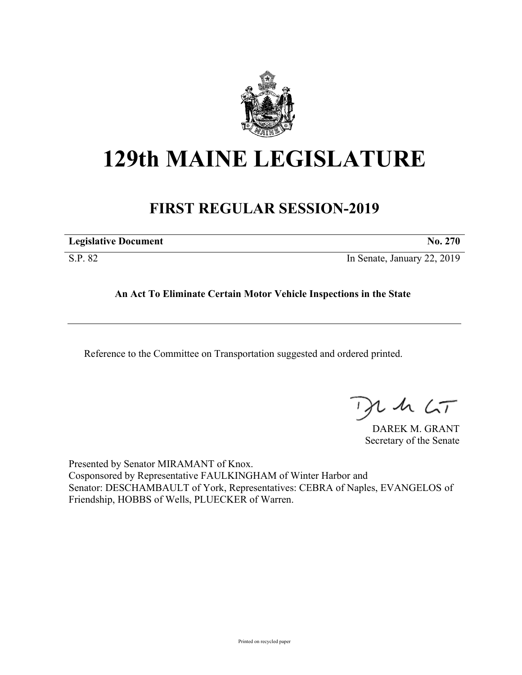

## **129th MAINE LEGISLATURE**

## **FIRST REGULAR SESSION-2019**

| <b>Legislative Document</b> | $\mathbf{N}\mathbf{0}$ . |
|-----------------------------|--------------------------|
|                             |                          |

S.P. 82 In Senate, January 22, 2019

## **An Act To Eliminate Certain Motor Vehicle Inspections in the State**

Reference to the Committee on Transportation suggested and ordered printed.

, in  $\zeta$ T

DAREK M. GRANT Secretary of the Senate

Presented by Senator MIRAMANT of Knox. Cosponsored by Representative FAULKINGHAM of Winter Harbor and Senator: DESCHAMBAULT of York, Representatives: CEBRA of Naples, EVANGELOS of Friendship, HOBBS of Wells, PLUECKER of Warren.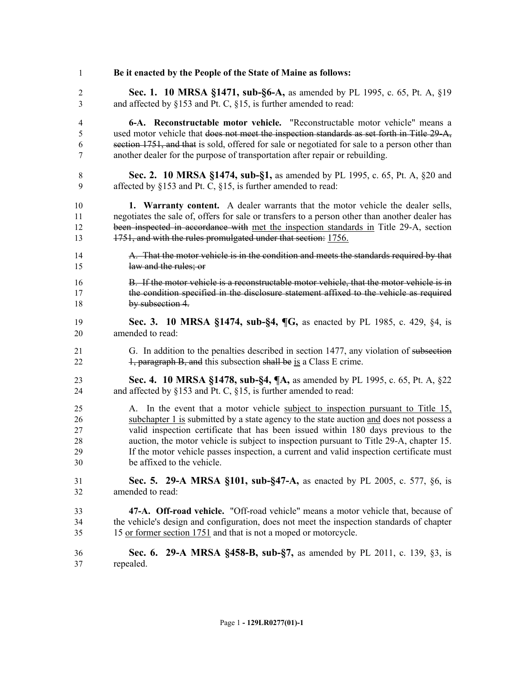| 1              | Be it enacted by the People of the State of Maine as follows:                                       |
|----------------|-----------------------------------------------------------------------------------------------------|
| $\mathfrak{2}$ | Sec. 1. 10 MRSA §1471, sub-§6-A, as amended by PL 1995, c. 65, Pt. A, §19                           |
| 3              | and affected by $\S 153$ and Pt. C, $\S 15$ , is further amended to read:                           |
| $\overline{4}$ | 6-A. Reconstructable motor vehicle. "Reconstructable motor vehicle" means a                         |
| 5              | used motor vehicle that does not meet the inspection standards as set forth in Title $29-A$ ,       |
| 6              | section 1751, and that is sold, offered for sale or negotiated for sale to a person other than      |
| 7              | another dealer for the purpose of transportation after repair or rebuilding.                        |
| 8              | Sec. 2. 10 MRSA §1474, sub-§1, as amended by PL 1995, c. 65, Pt. A, §20 and                         |
| 9              | affected by $\S 153$ and Pt. C, $\S 15$ , is further amended to read:                               |
| 10             | <b>1. Warranty content.</b> A dealer warrants that the motor vehicle the dealer sells,              |
| 11             | negotiates the sale of, offers for sale or transfers to a person other than another dealer has      |
| 12             | been inspected in accordance with met the inspection standards in Title 29-A, section               |
| 13             | 1751, and with the rules promulgated under that section: 1756.                                      |
| 14             | A. That the motor vehicle is in the condition and meets the standards required by that              |
| 15             | law and the rules; or                                                                               |
| 16             | B. If the motor vehicle is a reconstructable motor vehicle, that the motor vehicle is in            |
| 17             | the condition specified in the disclosure statement affixed to the vehicle as required              |
| 18             | by subsection 4.                                                                                    |
| 19             | Sec. 3. 10 MRSA §1474, sub-§4, ¶G, as enacted by PL 1985, c. 429, §4, is                            |
| 20             | amended to read:                                                                                    |
| 21             | G. In addition to the penalties described in section 1477, any violation of subsection              |
| 22             | 1, paragraph B, and this subsection shall be is a Class E crime.                                    |
| 23             | Sec. 4. 10 MRSA §1478, sub-§4, ¶A, as amended by PL 1995, c. 65, Pt. A, §22                         |
| 24             | and affected by $\S 153$ and Pt. C, $\S 15$ , is further amended to read:                           |
| 25             | A. In the event that a motor vehicle subject to inspection pursuant to Title 15,                    |
| 26             | subchapter $1$ is submitted by a state agency to the state auction $\frac{1}{2}$ does not possess a |
| 27             | valid inspection certificate that has been issued within 180 days previous to the                   |
| 28             | auction, the motor vehicle is subject to inspection pursuant to Title 29-A, chapter 15.             |
| 29             | If the motor vehicle passes inspection, a current and valid inspection certificate must             |
| 30             | be affixed to the vehicle.                                                                          |
| 31             | Sec. 5. 29-A MRSA §101, sub-§47-A, as enacted by PL 2005, c. 577, §6, is                            |
| 32             | amended to read:                                                                                    |
| 33             | 47-A. Off-road vehicle. "Off-road vehicle" means a motor vehicle that, because of                   |
| 34             | the vehicle's design and configuration, does not meet the inspection standards of chapter           |
| 35             | 15 or former section 1751 and that is not a moped or motorcycle.                                    |
| 36             | Sec. 6. 29-A MRSA §458-B, sub-§7, as amended by PL 2011, c. 139, §3, is                             |
| 37             | repealed.                                                                                           |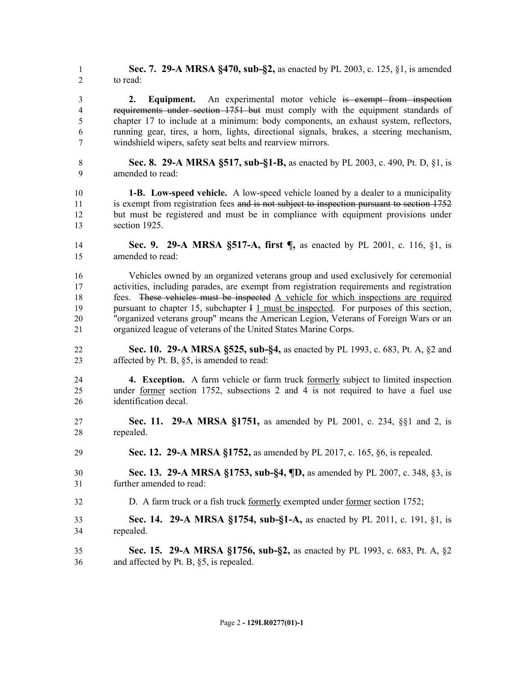**Sec. 7. 29-A MRSA §470, sub-§2,** as enacted by PL 2003, c. 125, §1, is amended to read:

 **2. Equipment.** An experimental motor vehicle is exempt from inspection requirements under section 1751 but must comply with the equipment standards of chapter 17 to include at a minimum: body components, an exhaust system, reflectors, running gear, tires, a horn, lights, directional signals, brakes, a steering mechanism, windshield wipers, safety seat belts and rearview mirrors.

 **Sec. 8. 29-A MRSA §517, sub-§1-B,** as enacted by PL 2003, c. 490, Pt. D, §1, is amended to read:

 **1-B. Low-speed vehicle.** A low-speed vehicle loaned by a dealer to a municipality 11 is exempt from registration fees and is not subject to inspection pursuant to section 1752 but must be registered and must be in compliance with equipment provisions under section 1925.

 **Sec. 9. 29-A MRSA §517-A, first ¶,** as enacted by PL 2001, c. 116, §1, is amended to read:

 Vehicles owned by an organized veterans group and used exclusively for ceremonial activities, including parades, are exempt from registration requirements and registration fees. These vehicles must be inspected A vehicle for which inspections are required pursuant to chapter 15, subchapter I 1 must be inspected. For purposes of this section, "organized veterans group" means the American Legion, Veterans of Foreign Wars or an organized league of veterans of the United States Marine Corps.

- **Sec. 10. 29-A MRSA §525, sub-§4,** as enacted by PL 1993, c. 683, Pt. A, §2 and affected by Pt. B, §5, is amended to read:
- **4. Exception.** A farm vehicle or farm truck formerly subject to limited inspection under former section 1752, subsections 2 and 4 is not required to have a fuel use identification decal.
- **Sec. 11. 29-A MRSA §1751,** as amended by PL 2001, c. 234, §§1 and 2, is repealed.
- **Sec. 12. 29-A MRSA §1752,** as amended by PL 2017, c. 165, §6, is repealed.
- **Sec. 13. 29-A MRSA §1753, sub-§4, ¶D,** as amended by PL 2007, c. 348, §3, is further amended to read:
- D. A farm truck or a fish truck formerly exempted under former section 1752;
- **Sec. 14. 29-A MRSA §1754, sub-§1-A,** as enacted by PL 2011, c. 191, §1, is repealed.
- **Sec. 15. 29-A MRSA §1756, sub-§2,** as enacted by PL 1993, c. 683, Pt. A, §2 and affected by Pt. B, §5, is repealed.